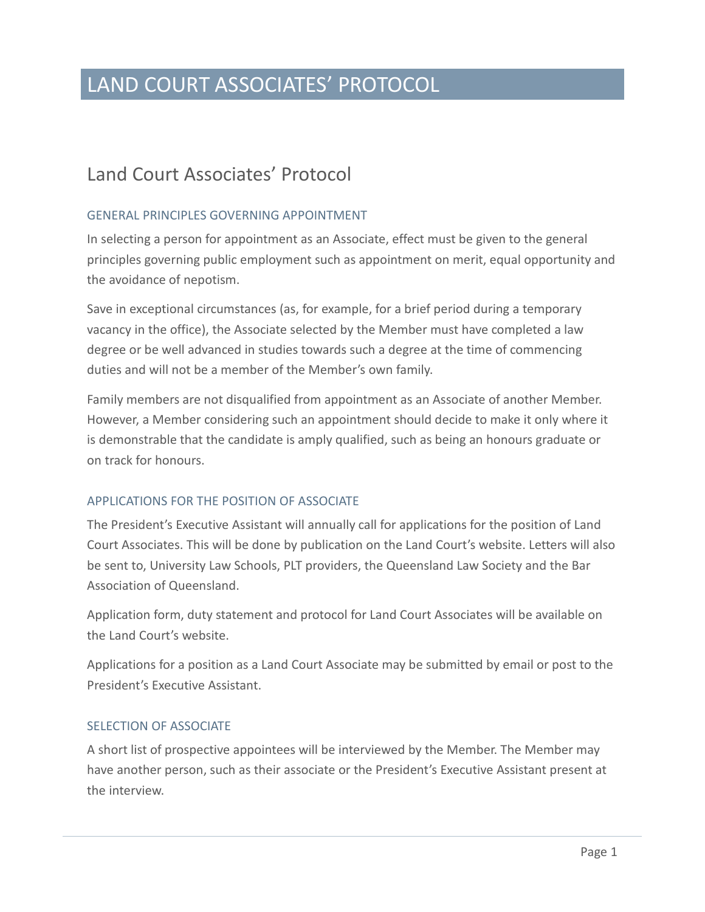# LAND COURT ASSOCIATES' PROTOCOL

# Land Court Associates' Protocol

# GENERAL PRINCIPLES GOVERNING APPOINTMENT

In selecting a person for appointment as an Associate, effect must be given to the general principles governing public employment such as appointment on merit, equal opportunity and the avoidance of nepotism.

Save in exceptional circumstances (as, for example, for a brief period during a temporary vacancy in the office), the Associate selected by the Member must have completed a law degree or be well advanced in studies towards such a degree at the time of commencing duties and will not be a member of the Member's own family.

Family members are not disqualified from appointment as an Associate of another Member. However, a Member considering such an appointment should decide to make it only where it is demonstrable that the candidate is amply qualified, such as being an honours graduate or on track for honours.

## APPLICATIONS FOR THE POSITION OF ASSOCIATE

The President's Executive Assistant will annually call for applications for the position of Land Court Associates. This will be done by publication on the Land Court's website. Letters will also be sent to, University Law Schools, PLT providers, the Queensland Law Society and the Bar Association of Queensland.

Application form, duty statement and protocol for Land Court Associates will be available on the Land Court's website.

Applications for a position as a Land Court Associate may be submitted by email or post to the President's Executive Assistant.

#### SELECTION OF ASSOCIATE

A short list of prospective appointees will be interviewed by the Member. The Member may have another person, such as their associate or the President's Executive Assistant present at the interview.